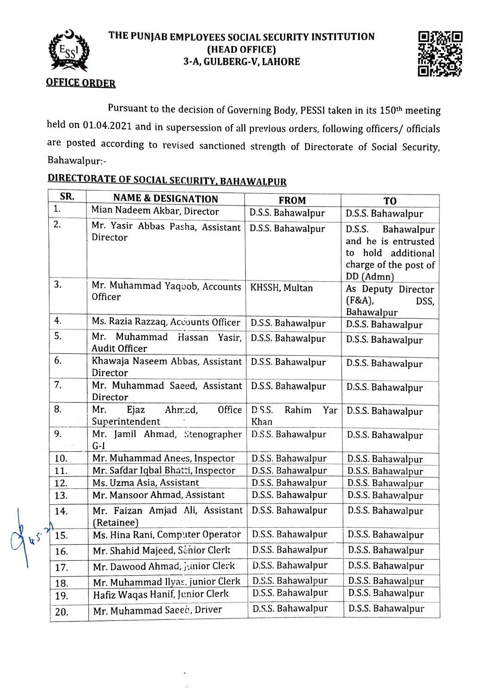

 $45$ 

## **THE PUNJAB EMPLOYEES SOCIAL SECURITY INSTITUTION (HEAD OFFICE) 3-A, GULBERG-V, LAHORE**



## **OFFICE ORDER**

Pursuant to the decision of Governing Body, PESSI taken in its 150th meeting held on 01.04.2021 and in supersession of all previous orders, following officers/ officials are posted according to revised sanctioned strength of Directorate of Social Security, Bahawalpur:-

| SR.      | <b>NAME &amp; DESIGNATION</b>                               | <b>FROM</b>                    | T <sub>O</sub>                                                                                                |
|----------|-------------------------------------------------------------|--------------------------------|---------------------------------------------------------------------------------------------------------------|
| 1.       | Mian Nadeem Akbar, Director                                 | D.S.S. Bahawalpur              | D.S.S. Bahawalpur                                                                                             |
| 2.       | Mr. Yasir Abbas Pasha, Assistant<br>Director                | D.S.S. Bahawalpur              | D.S.S.<br>Bahawalpur<br>and he is entrusted<br>hold<br>additional<br>to<br>charge of the post of<br>DD (Admn) |
| 3.       | Mr. Muhammad Yaqoob, Accounts<br>Officer                    | KHSSH, Multan                  | As Deputy Director<br>$(F&A)$ ,<br>DSS,<br>Bahawalpur                                                         |
| 4.       | Ms. Razia Razzaq, Accounts Officer                          | D.S.S. Bahawalpur              | D.S.S. Bahawalpur                                                                                             |
| 5.       | Muhammad<br>Mr.<br>Hassan<br>Yasir.<br><b>Audit Officer</b> | D.S.S. Bahawalpur              | D.S.S. Bahawalpur                                                                                             |
| 6.       | Khawaja Naseem Abbas, Assistant<br>Director                 | D.S.S. Bahawalpur              | D.S.S. Bahawalpur                                                                                             |
| 7.       | Mr. Muhammad Saeed, Assistant<br>Director                   | D.S.S. Bahawalpur              | D.S.S. Bahawalpur                                                                                             |
| 8.       | Mr.<br>Ejaz<br>Ahmad,<br>Office<br>Superintendent           | D.S.S.<br>Rahim<br>Yar<br>Khan | D.S.S. Bahawalpur                                                                                             |
| 9.       | Mr. Jamil Ahmad, Stenographer<br>$G-I$                      | D.S.S. Bahawalpur              | D.S.S. Bahawalpur                                                                                             |
| 10.      | Mr. Muhammad Anees, Inspector                               | D.S.S. Bahawalpur              | D.S.S. Bahawalpur                                                                                             |
| 11.      | Mr. Safdar Iqbal Bhatti, Inspector                          | D.S.S. Bahawalpur              | D.S.S. Bahawalpur                                                                                             |
| 12.      | Ms. Uzma Asia, Assistant                                    | D.S.S. Bahawalpur              | D.S.S. Bahawalpur                                                                                             |
| 13.      | Mr. Mansoor Ahmad, Assistant                                | D.S.S. Bahawalpur              | D.S.S. Bahawalpur                                                                                             |
| 14.      | Mr. Faizan Amjad Ali, Assistant<br>(Retainee)               | D.S.S. Bahawalpur              | D.S.S. Bahawalpur                                                                                             |
| γ<br>15. | Ms. Hina Rani, Computer Operator                            | D.S.S. Bahawalpur              | D.S.S. Bahawalpur                                                                                             |
| 16.      | Mr. Shahid Majeed, Scnior Clerk                             | D.S.S. Bahawalpur              | D.S.S. Bahawalpur                                                                                             |
| 17.      | Mr. Dawood Ahmad, junior Clerk                              | D.S.S. Bahawalpur              | D.S.S. Bahawalpur                                                                                             |
| 18.      | Mr. Muhammad Ilyas, junior Clerk                            | D.S.S. Bahawalpur              | D.S.S. Bahawalpur                                                                                             |
| 19.      | Hafiz Waqas Hanif, Junior Clerk                             | D.S.S. Bahawalpur              | D.S.S. Bahawalpur                                                                                             |
| 20.      | Mr. Muhammad Sacec, Driver                                  | D.S.S. Bahawalpur              | D.S.S. Bahawalpur                                                                                             |

## **DIRECTO RATE OF SOCIAL SECURITY, BAHAWALPUR**